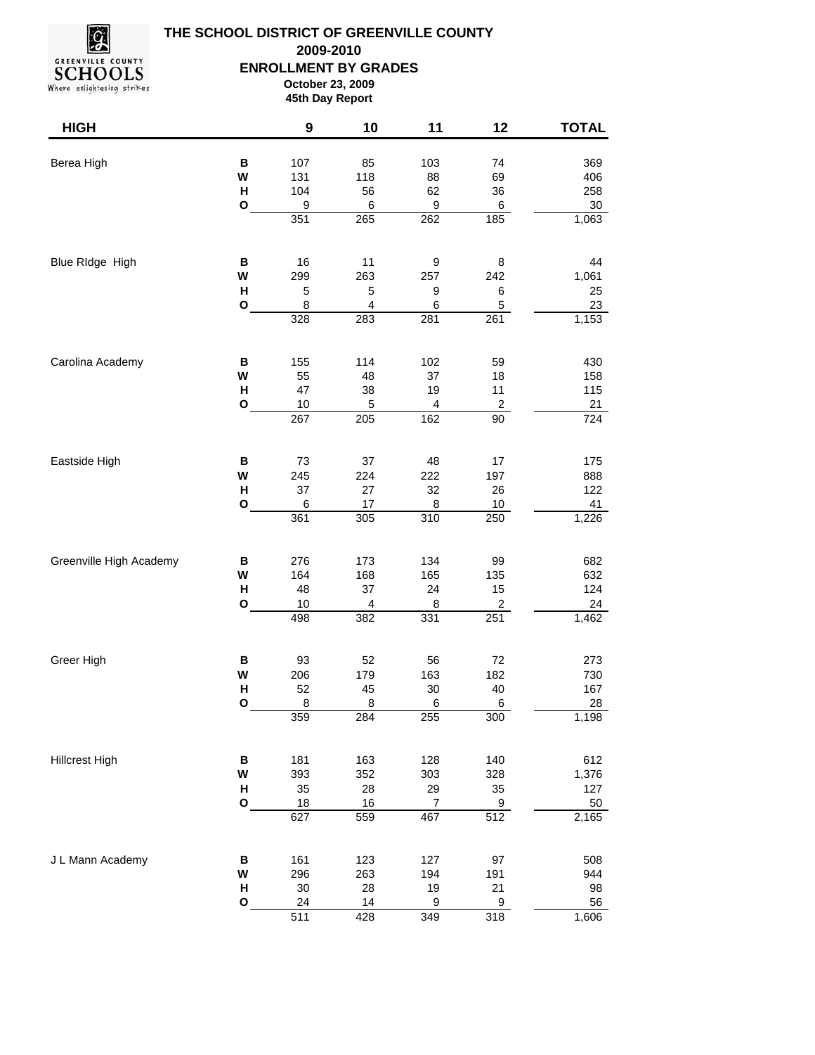

## **THE SCHOOL DISTRICT OF GREENVILLE COUNTY ENROLLMENT BY GRADES October 23, 2009 45th Day Report 2009-2010**

Where enlightening strikes

| <b>HIGH</b>             |              | $\boldsymbol{9}$        | 10                                  | 11                    | 12                     | <b>TOTAL</b>      |
|-------------------------|--------------|-------------------------|-------------------------------------|-----------------------|------------------------|-------------------|
| Berea High              | В<br>W<br>Н  | 107<br>131<br>104<br>9  | 85<br>118<br>56                     | 103<br>88<br>62       | 74<br>69<br>36         | 369<br>406<br>258 |
|                         | $\mathbf{o}$ | 351                     | 6<br>265                            | 9<br>262              | 6<br>185               | 30<br>1,063       |
| Blue RIdge High         | В            | 16                      | 11                                  | 9                     | 8                      | 44                |
|                         | W<br>н<br>O  | 299<br>$\mathbf 5$<br>8 | 263<br>5<br>$\overline{\mathbf{4}}$ | 257<br>9<br>6         | 242<br>6<br>5          | 1,061<br>25<br>23 |
|                         |              | 328                     | 283                                 | 281                   | 261                    | 1,153             |
| Carolina Academy        | В            | 155                     | 114                                 | 102                   | 59                     | 430               |
|                         | W<br>н       | 55<br>47                | 48<br>38                            | 37<br>19              | 18<br>11               | 158<br>115        |
|                         | O            | 10<br>267               | 5<br>205                            | 4<br>162              | $\overline{c}$<br>90   | 21<br>724         |
| Eastside High           | В            | 73                      | 37                                  | 48                    | 17                     | 175               |
|                         | W<br>н       | 245<br>37               | 224<br>27                           | 222<br>32             | 197<br>26              | 888<br>122        |
|                         | $\mathbf{o}$ | 6<br>361                | 17<br>305                           | 8<br>310              | 10<br>$\overline{250}$ | 41<br>1,226       |
| Greenville High Academy | $\, {\bf B}$ | 276                     | 173                                 | 134                   | 99                     | 682               |
|                         | W<br>н       | 164<br>48               | 168<br>37                           | 165<br>24             | 135<br>15              | 632<br>124        |
|                         | O            | 10<br>498               | 4<br>382                            | 8<br>331              | 2<br>251               | 24<br>1,462       |
|                         |              |                         |                                     |                       |                        |                   |
| Greer High              | В<br>W       | 93<br>206               | 52<br>179                           | 56<br>163             | 72<br>182              | 273<br>730        |
|                         | Н<br>O       | 52<br>8                 | 45<br>8                             | $30\,$<br>6           | 40<br>6                | 167<br>28         |
|                         |              | 359                     | 284                                 | 255                   | 300                    | 1,198             |
| <b>Hillcrest High</b>   | В            | 181                     | 163                                 | 128                   | 140                    | 612               |
|                         | W<br>н       | 393<br>35               | 352<br>28                           | 303<br>29             | 328<br>35              | 1,376<br>127      |
|                         | $\mathbf{o}$ | 18<br>627               | 16<br>559                           | $\overline{7}$<br>467 | $\overline{9}$<br>512  | 50<br>2,165       |
| J L Mann Academy        | B            | 161                     | 123                                 | 127                   | 97                     | 508               |
|                         | W<br>н       | 296<br>30               | 263<br>28                           | 194<br>19             | 191<br>21              | 944<br>98         |
|                         | $\mathsf{o}$ | 24                      | 14                                  | $\boldsymbol{9}$      | $\boldsymbol{9}$       | 56                |

428 511 349 318 1,606